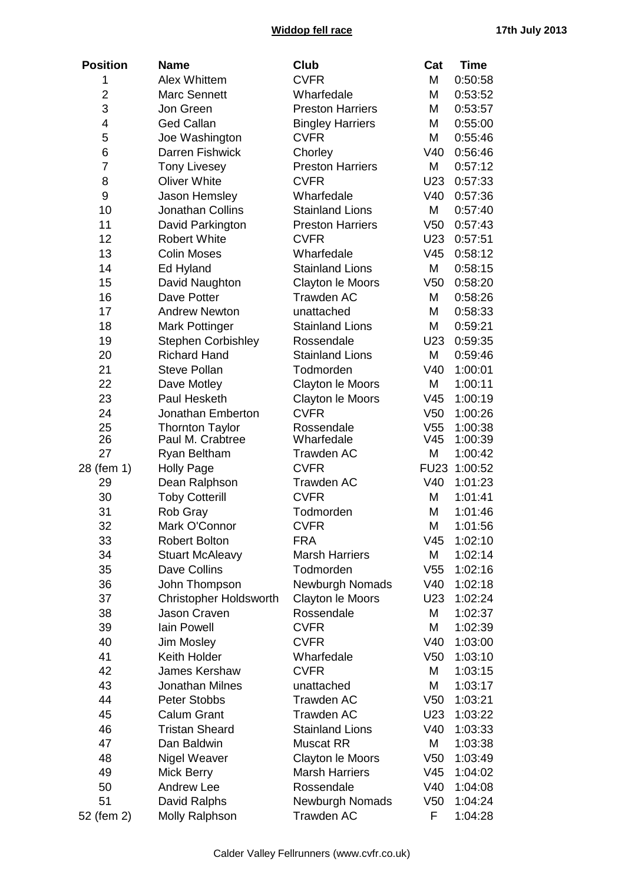## **Widdop fell race 17th July 2013**

| <b>Position</b> | <b>Name</b>                   | Club                                  | Cat             | <b>Time</b>  |
|-----------------|-------------------------------|---------------------------------------|-----------------|--------------|
| 1               | <b>Alex Whittem</b>           | <b>CVFR</b>                           | M               | 0:50:58      |
| $\overline{2}$  | <b>Marc Sennett</b>           | Wharfedale                            | M               | 0:53:52      |
| 3               | Jon Green                     | <b>Preston Harriers</b>               | M               | 0:53:57      |
| 4               | <b>Ged Callan</b>             | <b>Bingley Harriers</b>               | M               | 0:55:00      |
| 5               | Joe Washington                | <b>CVFR</b>                           | M               | 0:55:46      |
| 6               | Darren Fishwick               | Chorley                               | V40             | 0:56:46      |
| 7               | <b>Tony Livesey</b>           | <b>Preston Harriers</b>               | M               | 0:57:12      |
| 8               | <b>Oliver White</b>           | <b>CVFR</b>                           | U23             | 0:57:33      |
| 9               | Jason Hemsley                 | Wharfedale                            | V40             | 0:57:36      |
| 10              | <b>Jonathan Collins</b>       | <b>Stainland Lions</b>                | M               | 0:57:40      |
| 11              | David Parkington              | <b>Preston Harriers</b>               | V <sub>50</sub> | 0:57:43      |
| 12              | <b>Robert White</b>           | <b>CVFR</b>                           | U23             | 0:57:51      |
| 13              | <b>Colin Moses</b>            | Wharfedale                            | V45             | 0:58:12      |
| 14              | Ed Hyland                     | <b>Stainland Lions</b>                | M               | 0:58:15      |
| 15              | David Naughton                |                                       | V <sub>50</sub> |              |
|                 | Dave Potter                   | Clayton le Moors<br><b>Trawden AC</b> | Μ               | 0:58:20      |
| 16              |                               |                                       |                 | 0:58:26      |
| 17              | <b>Andrew Newton</b>          | unattached                            | M               | 0:58:33      |
| 18              | <b>Mark Pottinger</b>         | <b>Stainland Lions</b>                | M               | 0:59:21      |
| 19              | <b>Stephen Corbishley</b>     | Rossendale                            | U23             | 0:59:35      |
| 20              | <b>Richard Hand</b>           | <b>Stainland Lions</b>                | M               | 0:59:46      |
| 21              | <b>Steve Pollan</b>           | Todmorden                             | V40             | 1:00:01      |
| 22              | Dave Motley                   | Clayton le Moors                      | Μ               | 1:00:11      |
| 23              | Paul Hesketh                  | Clayton le Moors                      | V45             | 1:00:19      |
| 24              | Jonathan Emberton             | <b>CVFR</b>                           | V <sub>50</sub> | 1:00:26      |
| 25              | <b>Thornton Taylor</b>        | Rossendale                            | V <sub>55</sub> | 1:00:38      |
| 26              | Paul M. Crabtree              | Wharfedale                            | V45             | 1:00:39      |
| 27              | Ryan Beltham                  | <b>Trawden AC</b>                     | M               | 1:00:42      |
| 28 (fem 1)      | <b>Holly Page</b>             | <b>CVFR</b>                           |                 | FU23 1:00:52 |
| 29              | Dean Ralphson                 | <b>Trawden AC</b>                     | V40             | 1:01:23      |
| 30              | <b>Toby Cotterill</b>         | <b>CVFR</b>                           | M               | 1:01:41      |
| 31              | Rob Gray                      | Todmorden                             | M               | 1:01:46      |
| 32              | Mark O'Connor                 | <b>CVFR</b>                           | M               | 1:01:56      |
| 33              | <b>Robert Bolton</b>          | <b>FRA</b>                            | V45             | 1:02:10      |
| 34              | <b>Stuart McAleavy</b>        | <b>Marsh Harriers</b>                 | Μ               | 1:02:14      |
| 35              | Dave Collins                  | Todmorden                             | V55             | 1:02:16      |
| 36              | John Thompson                 | Newburgh Nomads                       | V40             | 1:02:18      |
| 37              | <b>Christopher Holdsworth</b> | Clayton le Moors                      | U23             | 1:02:24      |
| 38              | Jason Craven                  | Rossendale                            | Μ               | 1:02:37      |
| 39              | Iain Powell                   | <b>CVFR</b>                           | M               | 1:02:39      |
| 40              | Jim Mosley                    | <b>CVFR</b>                           | V40             | 1:03:00      |
| 41              | Keith Holder                  | Wharfedale                            | V <sub>50</sub> | 1:03:10      |
| 42              | James Kershaw                 | <b>CVFR</b>                           | Μ               | 1:03:15      |
| 43              | Jonathan Milnes               | unattached                            | M               | 1:03:17      |
| 44              | <b>Peter Stobbs</b>           | <b>Trawden AC</b>                     | V <sub>50</sub> | 1:03:21      |
| 45              | <b>Calum Grant</b>            | <b>Trawden AC</b>                     | U23             | 1:03:22      |
| 46              | <b>Tristan Sheard</b>         | <b>Stainland Lions</b>                | V40             | 1:03:33      |
| 47              | Dan Baldwin                   | <b>Muscat RR</b>                      | Μ               | 1:03:38      |
| 48              | Nigel Weaver                  | Clayton le Moors                      | V <sub>50</sub> | 1:03:49      |
| 49              | Mick Berry                    | <b>Marsh Harriers</b>                 | V45             | 1:04:02      |
| 50              | <b>Andrew Lee</b>             | Rossendale                            | V40             | 1:04:08      |
| 51              | David Ralphs                  | Newburgh Nomads                       | V50             | 1:04:24      |
| 52 (fem 2)      | Molly Ralphson                | <b>Trawden AC</b>                     | F               | 1:04:28      |
|                 |                               |                                       |                 |              |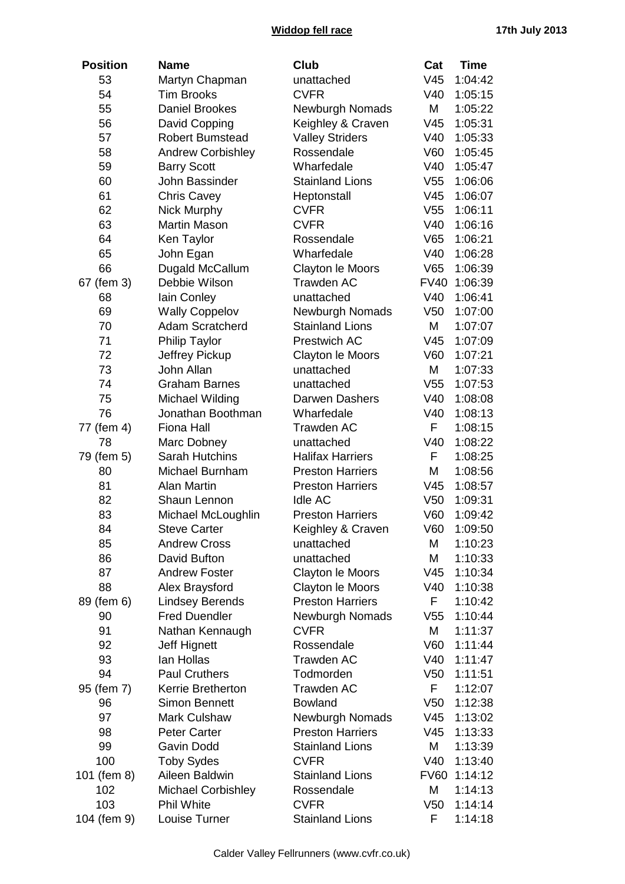## **Widdop fell race 17th July 2013**

| <b>Position</b> | <b>Name</b>               | <b>Club</b>                               | Cat             | <b>Time</b> |
|-----------------|---------------------------|-------------------------------------------|-----------------|-------------|
| 53              | Martyn Chapman            | unattached                                | V <sub>45</sub> | 1:04:42     |
| 54              | <b>Tim Brooks</b>         | <b>CVFR</b>                               | V40             | 1:05:15     |
| 55              | <b>Daniel Brookes</b>     | <b>Newburgh Nomads</b>                    | M               | 1:05:22     |
| 56              | David Copping             | Keighley & Craven                         | V45             | 1:05:31     |
| 57              | <b>Robert Bumstead</b>    | <b>Valley Striders</b>                    | V40             | 1:05:33     |
| 58              | <b>Andrew Corbishley</b>  | Rossendale                                | V60             | 1:05:45     |
| 59              | <b>Barry Scott</b>        | Wharfedale                                | V40             | 1:05:47     |
| 60              | John Bassinder            | <b>Stainland Lions</b>                    | V <sub>55</sub> | 1:06:06     |
| 61              | <b>Chris Cavey</b>        | Heptonstall                               | V45             | 1:06:07     |
| 62              | Nick Murphy               | <b>CVFR</b>                               | V <sub>55</sub> | 1:06:11     |
| 63              | <b>Martin Mason</b>       | <b>CVFR</b>                               | V40             | 1:06:16     |
| 64              | Ken Taylor                | Rossendale                                | V65             | 1:06:21     |
| 65              | John Egan                 | Wharfedale                                | V40             | 1:06:28     |
| 66              | Dugald McCallum           | Clayton le Moors                          | V65             | 1:06:39     |
| 67 (fem 3)      | Debbie Wilson             | Trawden AC                                | <b>FV40</b>     | 1:06:39     |
| 68              | lain Conley               | unattached                                | V40             | 1:06:41     |
| 69              | <b>Wally Coppelov</b>     |                                           | V <sub>50</sub> | 1:07:00     |
| 70              | Adam Scratcherd           | Newburgh Nomads<br><b>Stainland Lions</b> | M               |             |
|                 |                           |                                           |                 | 1:07:07     |
| 71              | <b>Philip Taylor</b>      | Prestwich AC                              | V45             | 1:07:09     |
| 72              | Jeffrey Pickup            | Clayton le Moors                          | V60             | 1:07:21     |
| 73              | John Allan                | unattached                                | М               | 1:07:33     |
| 74              | <b>Graham Barnes</b>      | unattached                                | V <sub>55</sub> | 1:07:53     |
| 75              | Michael Wilding           | Darwen Dashers                            | V40             | 1:08:08     |
| 76              | Jonathan Boothman         | Wharfedale                                | V40             | 1:08:13     |
| 77 (fem 4)      | <b>Fiona Hall</b>         | <b>Trawden AC</b>                         | F               | 1:08:15     |
| 78              | Marc Dobney               | unattached                                | V40             | 1:08:22     |
| 79 (fem 5)      | <b>Sarah Hutchins</b>     | <b>Halifax Harriers</b>                   | F               | 1:08:25     |
| 80              | Michael Burnham           | <b>Preston Harriers</b>                   | M               | 1:08:56     |
| 81              | <b>Alan Martin</b>        | <b>Preston Harriers</b>                   | V <sub>45</sub> | 1:08:57     |
| 82              | Shaun Lennon              | <b>Idle AC</b>                            | V <sub>50</sub> | 1:09:31     |
| 83              | Michael McLoughlin        | <b>Preston Harriers</b>                   | V60             | 1:09:42     |
| 84              | <b>Steve Carter</b>       | Keighley & Craven                         | V60             | 1:09:50     |
| 85              | <b>Andrew Cross</b>       | unattached                                | М               | 1:10:23     |
| 86              | David Bufton              | unattached                                | M               | 1:10:33     |
| 87              | <b>Andrew Foster</b>      | Clayton le Moors                          | V45             | 1:10:34     |
| 88              | Alex Braysford            | Clayton le Moors                          | V40             | 1:10:38     |
| 89 (fem 6)      | <b>Lindsey Berends</b>    | <b>Preston Harriers</b>                   | F.              | 1:10:42     |
| 90              | <b>Fred Duendler</b>      | <b>Newburgh Nomads</b>                    | V <sub>55</sub> | 1:10:44     |
| 91              | Nathan Kennaugh           | <b>CVFR</b>                               | М               | 1:11:37     |
| 92              | Jeff Hignett              | Rossendale                                | V60             | 1:11:44     |
| 93              | lan Hollas                | <b>Trawden AC</b>                         | V40             | 1:11:47     |
| 94              | <b>Paul Cruthers</b>      | Todmorden                                 | V50             | 1:11:51     |
| 95 (fem 7)      | Kerrie Bretherton         | Trawden AC                                | F.              | 1:12:07     |
| 96              | <b>Simon Bennett</b>      | <b>Bowland</b>                            | V <sub>50</sub> | 1:12:38     |
| 97              | <b>Mark Culshaw</b>       | <b>Newburgh Nomads</b>                    | V45             | 1:13:02     |
| 98              | <b>Peter Carter</b>       | <b>Preston Harriers</b>                   | V45             | 1:13:33     |
| 99              | Gavin Dodd                | <b>Stainland Lions</b>                    | М               | 1:13:39     |
| 100             | <b>Toby Sydes</b>         | <b>CVFR</b>                               | V40             | 1:13:40     |
| 101 (fem 8)     | Aileen Baldwin            | <b>Stainland Lions</b>                    | <b>FV60</b>     | 1:14:12     |
| 102             | <b>Michael Corbishley</b> | Rossendale                                | M               | 1:14:13     |
| 103             | <b>Phil White</b>         | <b>CVFR</b>                               | V <sub>50</sub> | 1:14:14     |
| 104 (fem 9)     | Louise Turner             | <b>Stainland Lions</b>                    | F               | 1:14:18     |
|                 |                           |                                           |                 |             |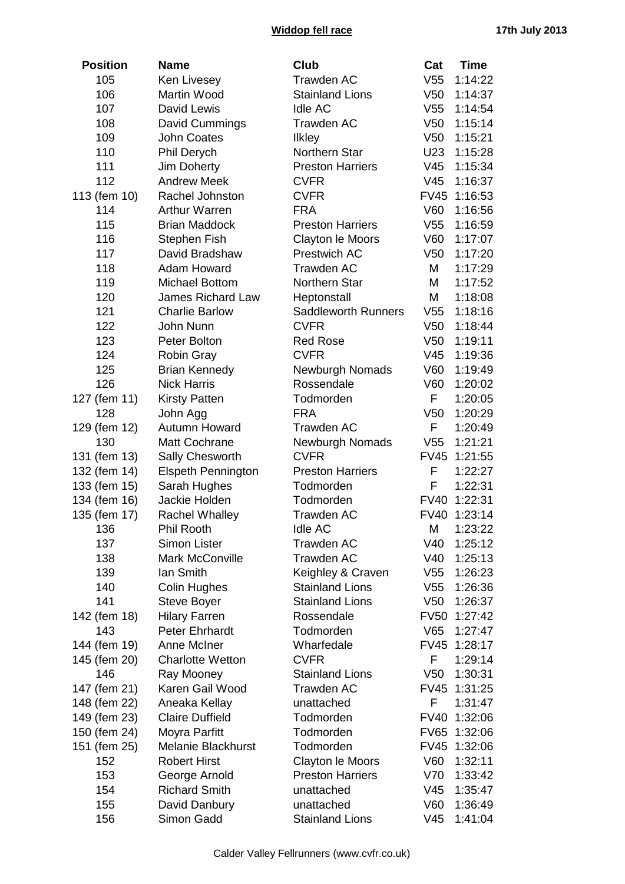## **Widdop fell race 17th July 2013**

| <b>Position</b>     | <b>Name</b>                               | Club                                 | Cat                            | <b>Time</b>        |
|---------------------|-------------------------------------------|--------------------------------------|--------------------------------|--------------------|
| 105                 | Ken Livesey                               | <b>Trawden AC</b>                    | V <sub>55</sub>                | 1:14:22            |
| 106                 | Martin Wood                               | <b>Stainland Lions</b>               | V <sub>50</sub>                | 1:14:37            |
| 107                 | David Lewis                               | <b>Idle AC</b>                       | V <sub>55</sub>                | 1:14:54            |
| 108                 | David Cummings                            | <b>Trawden AC</b>                    | V <sub>50</sub>                | 1:15:14            |
| 109                 | <b>John Coates</b>                        | Ilkley                               | V <sub>50</sub>                | 1:15:21            |
| 110                 | Phil Derych                               | Northern Star                        | U23                            | 1:15:28            |
| 111                 | Jim Doherty                               | <b>Preston Harriers</b>              | V45                            | 1:15:34            |
| 112                 | <b>Andrew Meek</b>                        | <b>CVFR</b>                          | V <sub>45</sub>                | 1:16:37            |
| 113 (fem 10)        | Rachel Johnston                           | <b>CVFR</b>                          | <b>FV45</b>                    | 1:16:53            |
| 114                 | <b>Arthur Warren</b>                      | <b>FRA</b>                           | V60                            | 1:16:56            |
| 115                 | <b>Brian Maddock</b>                      | <b>Preston Harriers</b>              | V <sub>55</sub>                | 1:16:59            |
| 116                 | <b>Stephen Fish</b>                       | Clayton le Moors                     | V60                            | 1:17:07            |
| 117                 | David Bradshaw                            | Prestwich AC                         | V <sub>50</sub>                | 1:17:20            |
| 118                 | Adam Howard                               | <b>Trawden AC</b>                    | M                              | 1:17:29            |
| 119                 | <b>Michael Bottom</b>                     | Northern Star                        | M                              | 1:17:52            |
| 120                 | James Richard Law                         | Heptonstall                          | M                              | 1:18:08            |
| 121                 | <b>Charlie Barlow</b>                     | <b>Saddleworth Runners</b>           | V <sub>55</sub>                | 1:18:16            |
| 122                 | John Nunn                                 | <b>CVFR</b>                          | V <sub>50</sub>                | 1:18:44            |
| 123                 | Peter Bolton                              | <b>Red Rose</b>                      | V <sub>50</sub>                | 1:19:11            |
| 124                 |                                           | <b>CVFR</b>                          | V45                            | 1:19:36            |
| 125                 | <b>Robin Gray</b><br><b>Brian Kennedy</b> | Newburgh Nomads                      | V60                            | 1:19:49            |
| 126                 | <b>Nick Harris</b>                        | Rossendale                           | V60                            |                    |
|                     |                                           |                                      | F                              | 1:20:02            |
| 127 (fem 11)<br>128 | <b>Kirsty Patten</b>                      | Todmorden<br><b>FRA</b>              | V <sub>50</sub>                | 1:20:05<br>1:20:29 |
|                     | John Agg<br><b>Autumn Howard</b>          | <b>Trawden AC</b>                    | F                              | 1:20:49            |
| 129 (fem 12)<br>130 | Matt Cochrane                             | <b>Newburgh Nomads</b>               | V <sub>55</sub>                | 1:21:21            |
| 131 (fem 13)        | Sally Chesworth                           | <b>CVFR</b>                          | <b>FV45</b>                    | 1:21:55            |
| 132 (fem 14)        | <b>Elspeth Pennington</b>                 | <b>Preston Harriers</b>              | F                              | 1:22:27            |
| 133 (fem 15)        | Sarah Hughes                              | Todmorden                            | F                              | 1:22:31            |
| 134 (fem 16)        | Jackie Holden                             | Todmorden                            | <b>FV40</b>                    | 1:22:31            |
| 135 (fem 17)        | Rachel Whalley                            | <b>Trawden AC</b>                    | <b>FV40</b>                    | 1:23:14            |
| 136                 | Phil Rooth                                | Idle AC                              | M                              | 1:23:22            |
| 137                 | <b>Simon Lister</b>                       | <b>Trawden AC</b>                    | V40                            | 1:25:12            |
| 138                 | Mark McConville                           | <b>Trawden AC</b>                    | V40                            | 1:25:13            |
| 139                 | lan Smith                                 | Keighley & Craven                    | V <sub>55</sub>                | 1:26:23            |
| 140                 | Colin Hughes                              | <b>Stainland Lions</b>               | V <sub>55</sub>                |                    |
| 141                 | <b>Steve Boyer</b>                        | <b>Stainland Lions</b>               | V <sub>50</sub>                | 1:26:36<br>1:26:37 |
| 142 (fem 18)        | <b>Hilary Farren</b>                      | Rossendale                           | <b>FV50</b>                    | 1:27:42            |
| 143                 | <b>Peter Ehrhardt</b>                     | Todmorden                            | V65                            | 1:27:47            |
| 144 (fem 19)        | Anne McIner                               | Wharfedale                           | <b>FV45</b>                    | 1:28:17            |
|                     | <b>Charlotte Wetton</b>                   | <b>CVFR</b>                          | F                              | 1:29:14            |
| 145 (fem 20)<br>146 |                                           | <b>Stainland Lions</b>               |                                |                    |
|                     | Ray Mooney                                | <b>Trawden AC</b>                    | V <sub>50</sub><br><b>FV45</b> | 1:30:31            |
| 147 (fem 21)        | Karen Gail Wood                           |                                      | F                              | 1:31:25            |
| 148 (fem 22)        | Aneaka Kellay                             | unattached                           |                                | 1:31:47            |
| 149 (fem 23)        | <b>Claire Duffield</b>                    | Todmorden                            | <b>FV40</b>                    | 1:32:06            |
| 150 (fem 24)        | Moyra Parfitt                             | Todmorden                            | <b>FV65</b>                    | 1:32:06            |
| 151 (fem 25)        | <b>Melanie Blackhurst</b>                 | Todmorden                            | <b>FV45</b>                    | 1:32:06            |
| 152                 | <b>Robert Hirst</b>                       | Clayton le Moors                     | V60                            | 1:32:11            |
| 153                 | George Arnold                             | <b>Preston Harriers</b>              | V70                            | 1:33:42            |
| 154                 | <b>Richard Smith</b>                      | unattached                           | V <sub>45</sub>                | 1:35:47            |
| 155                 | David Danbury                             | unattached<br><b>Stainland Lions</b> | V60                            | 1:36:49            |
| 156                 | Simon Gadd                                |                                      | V <sub>45</sub>                | 1:41:04            |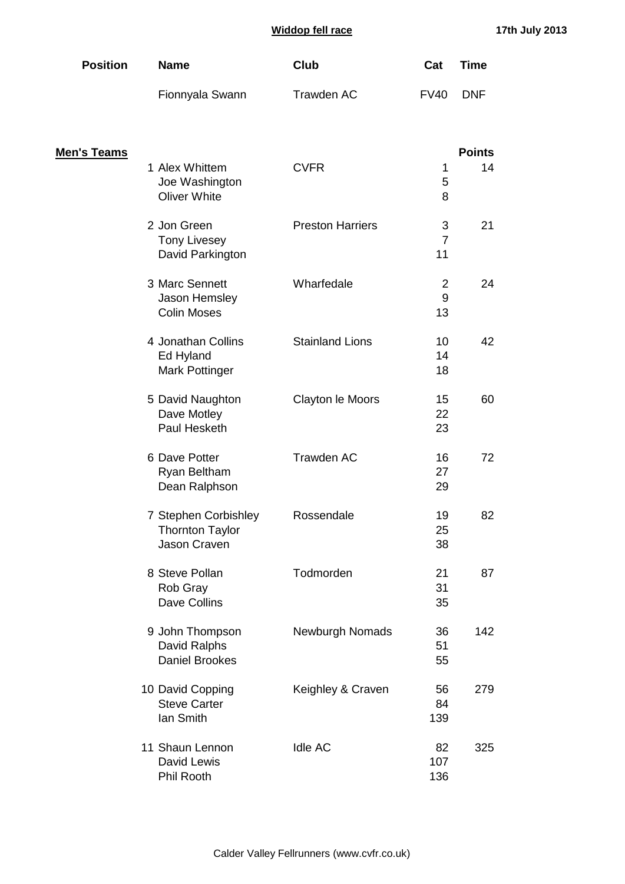| <b>Position</b> | <b>Name</b>     | Club       | Cat  | Time       |
|-----------------|-----------------|------------|------|------------|
|                 | Fionnyala Swann | Trawden AC | FV40 | <b>DNF</b> |

| <u>Men's Teams</u> |                                                                |                         |                           | <b>Points</b> |
|--------------------|----------------------------------------------------------------|-------------------------|---------------------------|---------------|
|                    | 1 Alex Whittem<br>Joe Washington<br><b>Oliver White</b>        | <b>CVFR</b>             | 1<br>5<br>8               | 14            |
|                    | 2 Jon Green<br><b>Tony Livesey</b><br>David Parkington         | <b>Preston Harriers</b> | 3<br>$\overline{7}$<br>11 | 21            |
|                    | 3 Marc Sennett<br>Jason Hemsley<br><b>Colin Moses</b>          | Wharfedale              | 2<br>9<br>13              | 24            |
|                    | 4 Jonathan Collins<br>Ed Hyland<br><b>Mark Pottinger</b>       | <b>Stainland Lions</b>  | 10<br>14<br>18            | 42            |
|                    | 5 David Naughton<br>Dave Motley<br>Paul Hesketh                | Clayton le Moors        | 15<br>22<br>23            | 60            |
|                    | 6 Dave Potter<br>Ryan Beltham<br>Dean Ralphson                 | Trawden AC              | 16<br>27<br>29            | 72            |
|                    | 7 Stephen Corbishley<br><b>Thornton Taylor</b><br>Jason Craven | Rossendale              | 19<br>25<br>38            | 82            |
|                    | 8 Steve Pollan<br>Rob Gray<br>Dave Collins                     | Todmorden               | 21<br>31<br>35            | 87            |
|                    | 9 John Thompson<br>David Ralphs<br><b>Daniel Brookes</b>       | <b>Newburgh Nomads</b>  | 36<br>51<br>55            | 142           |
|                    | 10 David Copping<br><b>Steve Carter</b><br>Ian Smith           | Keighley & Craven       | 56<br>84<br>139           | 279           |
|                    | 11 Shaun Lennon<br>David Lewis<br>Phil Rooth                   | <b>Idle AC</b>          | 82<br>107<br>136          | 325           |